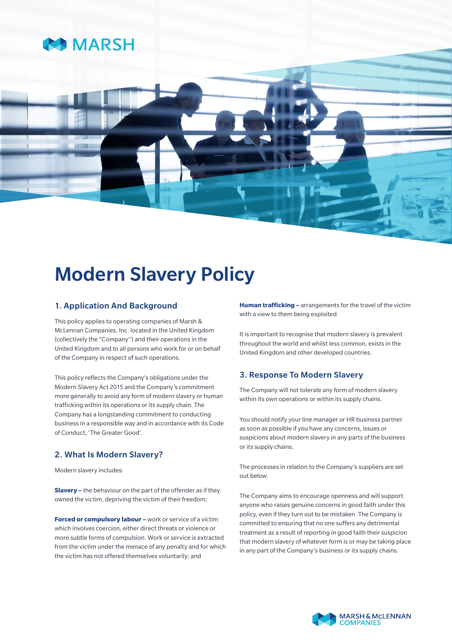

# Modern Slavery Policy

## 1. Application And Background

This policy applies to operating companies of Marsh & McLennan Companies, Inc. located in the United Kingdom (collectively the "Company") and their operations in the United Kingdom and to all persons who work for or on behalf of the Company in respect of such operations.

This policy reflects the Company's obligations under the Modern Slavery Act 2015 and the Company's commitment more generally to avoid any form of modern slavery or human trafficking within its operations or its supply chain. The Company has a longstanding commitment to conducting business in a responsible way and in accordance with its Code of Conduct, 'The Greater Good'.

## 2. What Is Modern Slavery?

Modern slavery includes:

**Slavery –** the behaviour on the part of the offender as if they owned the victim, depriving the victim of their freedom;

**Forced or compulsory labour –** work or service of a victim which involves coercion, either direct threats or violence or more subtle forms of compulsion. Work or service is extracted from the victim under the menace of any penalty and for which the victim has not offered themselves voluntarily; and

**Human trafficking –** arrangements for the travel of the victim with a view to them being exploited.

It is important to recognise that modern slavery is prevalent throughout the world and whilst less common, exists in the United Kingdom and other developed countries.

## 3. Response To Modern Slavery

The Company will not tolerate any form of modern slavery within its own operations or within its supply chains.

You should notify your line manager or HR business partner as soon as possible if you have any concerns, issues or suspicions about modern slavery in any parts of the business or its supply chains.

The processes in relation to the Company's suppliers are set out below.

The Company aims to encourage openness and will support anyone who raises genuine concerns in good faith under this policy, even if they turn out to be mistaken. The Company is committed to ensuring that no one suffers any detrimental treatment as a result of reporting in good faith their suspicion that modern slavery of whatever form is or may be taking place in any part of the Company's business or its supply chains.